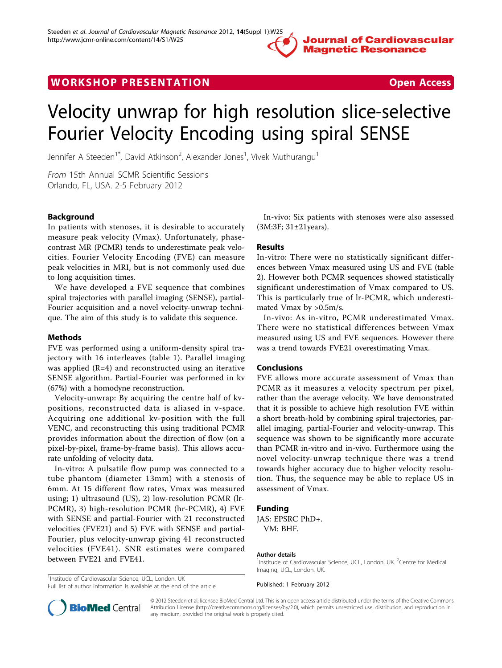# **Journal of Cardiovascular Magnetic Resonance**

# WORK SHOP PRESENTATION **SHOP SHOP SHOP SHOP SHOP SHOP** SHOP SHOPS A SHOP SHOPS AND SHOP SHOPS AND SHOPS AND SHOPS AND SHOPS AND SHOPS AND SHOPS AND SHOPS AND SHOPS AND SHOPS AND SHOPS AND SHOPS AND SHOPS AND SHOPS AND SHOP



# Velocity unwrap for high resolution slice-selective Fourier Velocity Encoding using spiral SENSE

Jennifer A Steeden<sup>1\*</sup>, David Atkinson<sup>2</sup>, Alexander Jones<sup>1</sup>, Vivek Muthurangu<sup>1</sup>

From 15th Annual SCMR Scientific Sessions Orlando, FL, USA. 2-5 February 2012

# Background

In patients with stenoses, it is desirable to accurately measure peak velocity (Vmax). Unfortunately, phasecontrast MR (PCMR) tends to underestimate peak velocities. Fourier Velocity Encoding (FVE) can measure peak velocities in MRI, but is not commonly used due to long acquisition times.

We have developed a FVE sequence that combines spiral trajectories with parallel imaging (SENSE), partial-Fourier acquisition and a novel velocity-unwrap technique. The aim of this study is to validate this sequence.

#### Methods

FVE was performed using a uniform-density spiral trajectory with 16 interleaves (table [1\)](#page-1-0). Parallel imaging was applied (R=4) and reconstructed using an iterative SENSE algorithm. Partial-Fourier was performed in kv (67%) with a homodyne reconstruction.

Velocity-unwrap: By acquiring the centre half of kvpositions, reconstructed data is aliased in v-space. Acquiring one additional kv-position with the full VENC, and reconstructing this using traditional PCMR provides information about the direction of flow (on a pixel-by-pixel, frame-by-frame basis). This allows accurate unfolding of velocity data.

In-vitro: A pulsatile flow pump was connected to a tube phantom (diameter 13mm) with a stenosis of 6mm. At 15 different flow rates, Vmax was measured using; 1) ultrasound (US), 2) low-resolution PCMR (lr-PCMR), 3) high-resolution PCMR (hr-PCMR), 4) FVE with SENSE and partial-Fourier with 21 reconstructed velocities (FVE21) and 5) FVE with SENSE and partial-Fourier, plus velocity-unwrap giving 41 reconstructed velocities (FVE41). SNR estimates were compared between FVE21 and FVE41.

<sup>1</sup>Institude of Cardiovascular Science, UCL, London, UK Full list of author information is available at the end of the article

In-vivo: Six patients with stenoses were also assessed (3M:3F; 31±21years).

### Results

In-vitro: There were no statistically significant differences between Vmax measured using US and FVE (table [2\)](#page-1-0). However both PCMR sequences showed statistically significant underestimation of Vmax compared to US. This is particularly true of lr-PCMR, which underestimated Vmax by >0.5m/s.

In-vivo: As in-vitro, PCMR underestimated Vmax. There were no statistical differences between Vmax measured using US and FVE sequences. However there was a trend towards FVE21 overestimating Vmax.

## Conclusions

FVE allows more accurate assessment of Vmax than PCMR as it measures a velocity spectrum per pixel, rather than the average velocity. We have demonstrated that it is possible to achieve high resolution FVE within a short breath-hold by combining spiral trajectories, parallel imaging, partial-Fourier and velocity-unwrap. This sequence was shown to be significantly more accurate than PCMR in-vitro and in-vivo. Furthermore using the novel velocity-unwrap technique there was a trend towards higher accuracy due to higher velocity resolution. Thus, the sequence may be able to replace US in assessment of Vmax.

## Funding

JAS: EPSRC PhD+. VM: BHF.

#### Author details

<sup>1</sup>Institude of Cardiovascular Science, UCL, London, UK. <sup>2</sup>Centre for Medical Imaging, UCL, London, UK.

Published: 1 February 2012



© 2012 Steeden et al; licensee BioMed Central Ltd. This is an open access article distributed under the terms of the Creative Commons Attribution License [\(http://creativecommons.org/licenses/by/2.0](http://creativecommons.org/licenses/by/2.0)), which permits unrestricted use, distribution, and reproduction in any medium, provided the original work is properly cited.